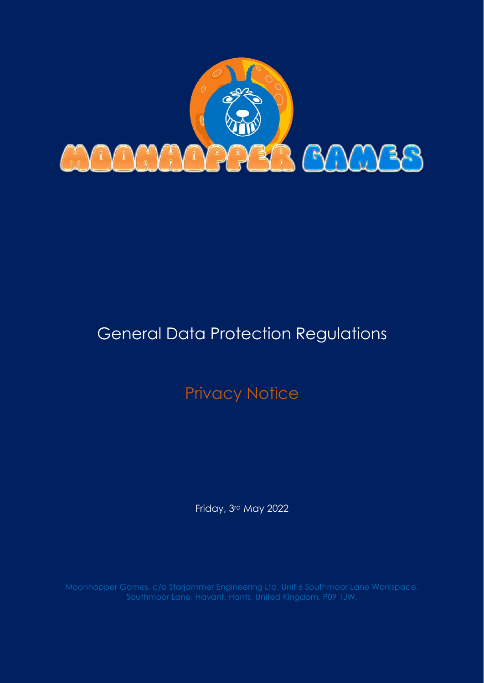

# General Data Protection Regulations

# Privacy Notice

Friday, 3rd May 2022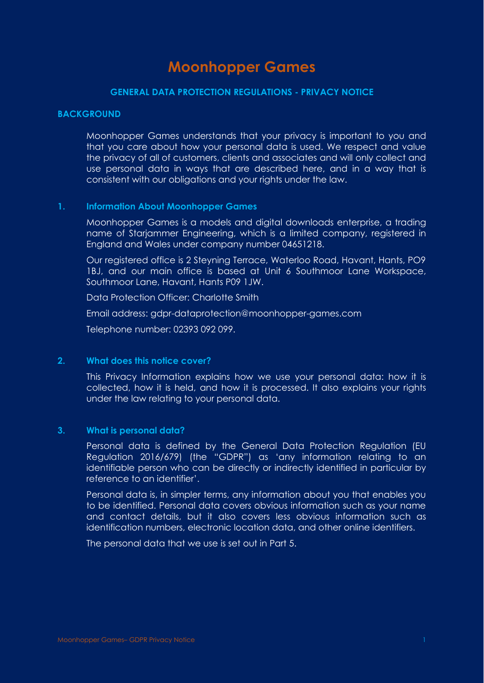# **Moonhopper Games**

## **GENERAL DATA PROTECTION REGULATIONS - PRIVACY NOTICE**

#### **BACKGROUND**

Moonhopper Games understands that your privacy is important to you and that you care about how your personal data is used. We respect and value the privacy of all of customers, clients and associates and will only collect and use personal data in ways that are described here, and in a way that is consistent with our obligations and your rights under the law.

#### **1. Information About Moonhopper Games**

Moonhopper Games is a models and digital downloads enterprise, a trading name of Starjammer Engineering, which is a limited company, registered in England and Wales under company number 04651218.

Our registered office is 2 Steyning Terrace, Waterloo Road, Havant, Hants, PO9 1BJ, and our main office is based at Unit 6 Southmoor Lane Workspace, Southmoor Lane, Havant, Hants P09 1JW.

Data Protection Officer: Charlotte Smith

Email address: gdpr-dataprotection@moonhopper-games.com

Telephone number: 02393 092 099.

#### **2. What does this notice cover?**

This Privacy Information explains how we use your personal data: how it is collected, how it is held, and how it is processed. It also explains your rights under the law relating to your personal data.

#### **3. What is personal data?**

Personal data is defined by the General Data Protection Regulation (EU Regulation 2016/679) (the "GDPR") as 'any information relating to an identifiable person who can be directly or indirectly identified in particular by reference to an identifier'.

Personal data is, in simpler terms, any information about you that enables you to be identified. Personal data covers obvious information such as your name and contact details, but it also covers less obvious information such as identification numbers, electronic location data, and other online identifiers.

The personal data that we use is set out in Part 5.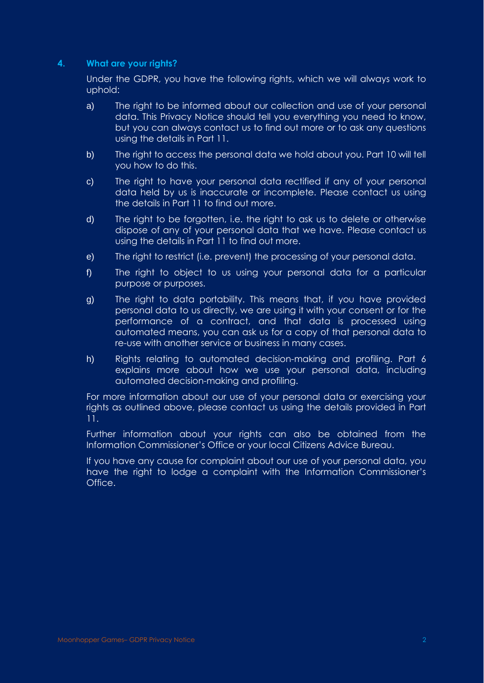# **4. What are your rights?**

Under the GDPR, you have the following rights, which we will always work to uphold:

- a) The right to be informed about our collection and use of your personal data. This Privacy Notice should tell you everything you need to know, but you can always contact us to find out more or to ask any questions using the details in Part 11.
- b) The right to access the personal data we hold about you. Part 10 will tell you how to do this.
- c) The right to have your personal data rectified if any of your personal data held by us is inaccurate or incomplete. Please contact us using the details in Part 11 to find out more.
- d) The right to be forgotten, i.e. the right to ask us to delete or otherwise dispose of any of your personal data that we have. Please contact us using the details in Part 11 to find out more.
- e) The right to restrict (i.e. prevent) the processing of your personal data.
- f) The right to object to us using your personal data for a particular purpose or purposes.
- g) The right to data portability. This means that, if you have provided personal data to us directly, we are using it with your consent or for the performance of a contract, and that data is processed using automated means, you can ask us for a copy of that personal data to re-use with another service or business in many cases.
- h) Rights relating to automated decision-making and profiling. Part 6 explains more about how we use your personal data, including automated decision-making and profiling.

For more information about our use of your personal data or exercising your rights as outlined above, please contact us using the details provided in Part 11.

Further information about your rights can also be obtained from the Information Commissioner's Office or your local Citizens Advice Bureau.

If you have any cause for complaint about our use of your personal data, you have the right to lodge a complaint with the Information Commissioner's Office.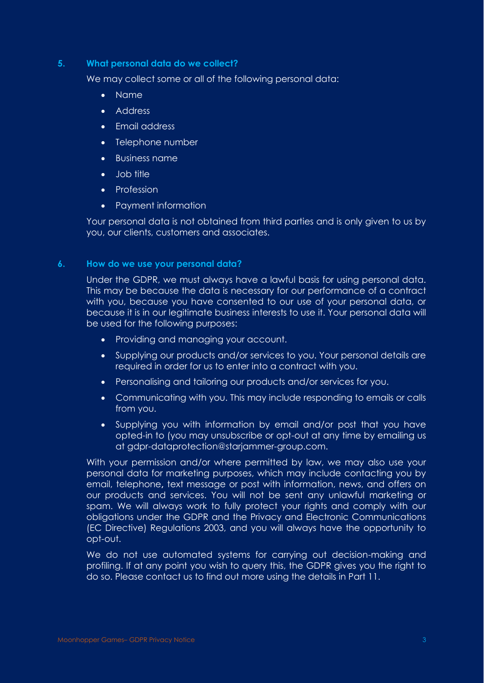## **5. What personal data do we collect?**

We may collect some or all of the following personal data:

- Name
- Address
- Email address
- Telephone number
- Business name
- Job title
- Profession
- Payment information

Your personal data is not obtained from third parties and is only given to us by you, our clients, customers and associates.

# **6. How do we use your personal data?**

Under the GDPR, we must always have a lawful basis for using personal data. This may be because the data is necessary for our performance of a contract with you, because you have consented to our use of your personal data, or because it is in our legitimate business interests to use it. Your personal data will be used for the following purposes:

- Providing and managing your account.
- Supplying our products and/or services to you. Your personal details are required in order for us to enter into a contract with you.
- Personalising and tailoring our products and/or services for you.
- Communicating with you. This may include responding to emails or calls from you.
- Supplying you with information by email and/or post that you have opted-in to (you may unsubscribe or opt-out at any time by emailing us at gdpr-dataprotection@starjammer-group.com.

With your permission and/or where permitted by law, we may also use your personal data for marketing purposes, which may include contacting you by email, telephone**,** text message or post with information, news, and offers on our products and services. You will not be sent any unlawful marketing or spam. We will always work to fully protect your rights and comply with our obligations under the GDPR and the Privacy and Electronic Communications (EC Directive) Regulations 2003, and you will always have the opportunity to opt-out.

We do not use automated systems for carrying out decision-making and profiling. If at any point you wish to query this, the GDPR gives you the right to do so. Please contact us to find out more using the details in Part 11.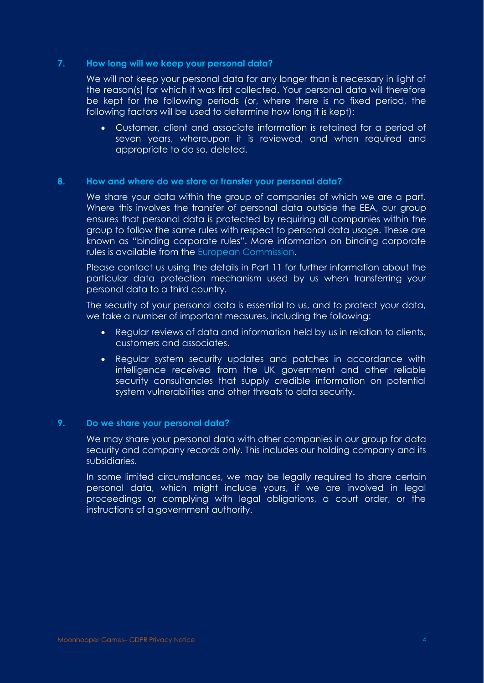## **7. How long will we keep your personal data?**

We will not keep your personal data for any longer than is necessary in light of the reason(s) for which it was first collected. Your personal data will therefore be kept for the following periods (or, where there is no fixed period, the following factors will be used to determine how long it is kept):

• Customer, client and associate information is retained for a period of seven years, whereupon it is reviewed, and when required and appropriate to do so, deleted.

## **8. How and where do we store or transfer your personal data?**

We share your data within the group of companies of which we are a part. Where this involves the transfer of personal data outside the EEA, our group ensures that personal data is protected by requiring all companies within the group to follow the same rules with respect to personal data usage. These are known as "binding corporate rules". More information on binding corporate rules is available from the [European Commission.](https://ec.europa.eu/info/law/law-topic/data-protection/data-transfers-outside-eu/binding-corporate-rules_en)

Please contact us using the details in Part 11 for further information about the particular data protection mechanism used by us when transferring your personal data to a third country.

The security of your personal data is essential to us, and to protect your data, we take a number of important measures, including the following:

- Regular reviews of data and information held by us in relation to clients, customers and associates.
- Regular system security updates and patches in accordance with intelligence received from the UK government and other reliable security consultancies that supply credible information on potential system vulnerabilities and other threats to data security.

## **9. Do we share your personal data?**

We may share your personal data with other companies in our group for data security and company records only. This includes our holding company and its subsidiaries.

In some limited circumstances, we may be legally required to share certain personal data, which might include yours, if we are involved in legal proceedings or complying with legal obligations, a court order, or the instructions of a government authority.